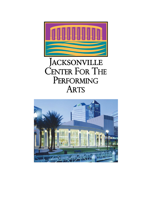

# JACKSONVILLE<br>CENTER FOR THE PERFORMING **ARTS**

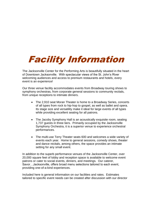# Facility Information

The Jacksonville Center for the Performing Arts is beautifully situated in the heart of Downtown Jacksonville. With spectacular views of the St. John's River welcoming audiences and access to premium restaurants and hotels, every event is an experience!

Our three venue facility accommodates events from Broadway touring shows to symphony orchestras, from corporate general sessions to community recitals, from unique receptions to intimate dinners.

- The 2,910 seat Moran Theater is home to a Broadway Series, concerts of all types from rock to hip-hop to gospel, as well as ballet and opera. Its stage size and versatility make it ideal for large events of all types while providing excellent seating for all patrons.
- The Jacoby Symphony Hall is an acoustically exquisite room, seating 1,737 guests in three tiers. Primarily occupied by the Jacksonville Symphony Orchestra, it is a superior venue to experience orchestral performances.
- The multi-use Terry Theater seats 600 and welcomes a wide variety of events each year. Home to general sessions, comedy shows, theater and dance recitals, among others, the space provides an intimate setting for any small event.

In addition to the superb performance venues of the Jacksonville Center, over 20,000 square feet of lobby and reception space is available to welcome event patrons or cater to social events, dinners, and meetings. Our caterer, Savor…Jacksonville, offers broad menu selections tailored to each event, providing one-of-a-kind experiences.

Included here is general information on our facilities and rates. Estimates tailored to specific event needs can be created after discussion with our director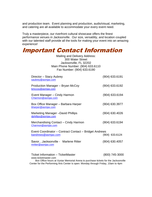and production team. Event planning and production, audio/visual, marketing, and catering are all available to accommodate your every event need.

Truly a masterpiece, our riverfront cultural showcase offers the finest performance venues in Jacksonville. Our size, versatility, and location coupled with our talented staff provide all the tools for making your event into an amazing experience!

## Important Contact Information

Mailing and Delivery Address: 300 Water Street Jacksonville, FL 32202 Main Phone Number: (904) 633.6110 Fax Number: (904) 633.6190

| Director - Stacy Aubrey<br>saubrey@asmjax.com                                                                                                   | (904) 633.6191   |
|-------------------------------------------------------------------------------------------------------------------------------------------------|------------------|
| Production Manager – Bryan McCoy<br>bmccoy@asmjax.com                                                                                           | $(904)$ 633.6192 |
| Event Manager – Cindy Harmon<br>CHarmon@asmjax.com                                                                                              | $(904)$ 633.6194 |
| Box Office Manager – Barbara Harper<br>bharper@asmjax.com                                                                                       | $(904)$ 630.3977 |
| Marketing Manager - David Phillips<br>dphillips@asmjax.com                                                                                      | $(904)$ 630.4026 |
| Merchandising Contact – Cindy Harmon<br>Charmon@asmjax.com                                                                                      | $(904)$ 633.6194 |
| Event Coordinator - Contract Contact - Bridget Andrews<br>bandrews@asmjax.com                                                                   | (904) 633.6124   |
| SavorJacksonville - Marlene Ritter<br>mritter@asmjax.com                                                                                        | $(904)$ 630.4057 |
| Ticket Information - TicketMaster<br>www.ticketmaster.com<br>Box Office hours at Vystar Memorial Arena to purchase tickets for the Jacksonville | (800) 745-3000   |

Center for the Performing Arts Center is open: Monday through Friday, 10am to 4pm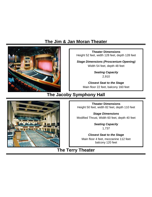## **The Jim & Jan Moran Theater**



**Theater Dimensions** Height 52 feet, width 128 feet, depth 128 feet

*Stage Dimensions (Proscenium Opening)* Width 54 feet, depth 48 feet

> *Seating Capacity* 2,910

*Closest Seat to the Stage* Main floor 22 feet, balcony 160 feet

**The Jacoby Symphony Hall**

**Theater Dimensions** Height 50 feet, width 82 feet, depth 110 feet

*Stage Dimensions* Modified Thrust, Width 60 feet, depth 40 feet

> *Seating Capacity* 1,737

*Closest Seat to the Stage* Main floor 4 feet, mezzanine 112 feet balcony 120 feet

### **The Terry Theater**

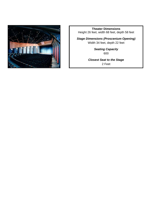

**Theater Dimensions** Height 26 feet, width 68 feet, depth 58 feet

*Stage Dimensions (Proscenium Opening)* Width 34 feet, depth 22 feet

> *Seating Capacity* 600

*Closest Seat to the Stage* 2 Feet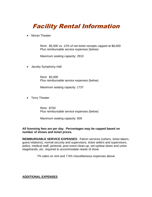# Facility Rental Information

• Moran Theater

Rent: \$5,000 vs. 12% of net ticket receipts capped at \$8,000 Plus reimbursable service expenses (below)

Maximum seating capacity: 2910

• Jacoby Symphony Hall

Rent: \$3,000 Plus reimbursable service expenses (below)

Maximum seating capacity: 1737

• Terry Theater

Rent: \$750 Plus reimbursable service expenses (below)

Maximum seating capacity: 609

#### **All licensing fees are per day. Percentages may be capped based on number of shows and ticket prices.**

**REIMBURSABLE SERVICE EXPENSES**: Patron services (ushers, ticket takers, guest relations), normal security and supervisors, ticket sellers and supervisors, police, medical staff, janitorial, post event clean-up, set-up/tear-down and union stagehands, etc. required to accommodate needs of show

7% sales on rent and 7.5% miscellaneous expenses above

#### **ADDITIONAL EXPENSES**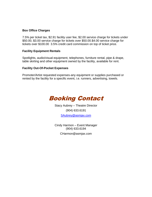#### **Box Office Charges**

7.5% per ticket tax, \$2.91 facility user fee, \$2.00 service charge for tickets under \$50.00, \$3.00 service charge for tickets over \$50.00.\$4.00 service charge for tickets over \$100.00 3.5% credit card commission on top of ticket price.

#### **Facility Equipment Rentals**

Spotlights, audio/visual equipment, telephones, furniture rental, pipe & drape, table skirting and other equipment owned by the facility, available for rent.

#### **Facility Out-Of-Pocket Expenses**

Promoter/Artist requested expenses-any equipment or supplies purchased or rented by the facility for a specific event, i.e. runners, advertising, towels.



Stacy Aubrey – Theatre Director (904) 633.6191 [SAubrey@asmjax.com](mailto:SAubrey@asmjax.com)

Cindy Harmon – Event Manager (904) 633.6194 CHarmon@asmjax.com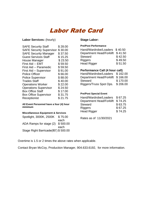# Labor Rate Card

#### **Labor Services:** (hourly)

| <b>SAFE Security Staff</b>      | \$28.00 |
|---------------------------------|---------|
| <b>SAFE Security Supervisor</b> | \$30.00 |
| <b>SAFE Security Manager</b>    | \$37.50 |
| <b>Guest Services Staff</b>     | \$15.25 |
| House Manager                   | \$23.50 |
| First Aid -- EMT                | \$59.50 |
| First Aid -- Paramedic          | \$59.50 |
| First Aid - Supervisor          | \$91.00 |
| <b>Police Officer</b>           | \$66.00 |
| <b>Police Supervisor</b>        | \$88.00 |
| <b>Trades Staff</b>             | \$40.00 |
| <b>Operations Worker</b>        | \$22.00 |
| <b>Operations Supervisor</b>    | \$24.50 |
| <b>Box Office Staff</b>         | \$17.00 |
| <b>Box Office Supervisor</b>    | \$31.75 |
| Receptionist                    | \$21.75 |

**All Event Personnel have a four (4) hour minimum**

#### **Miscellaneous Equipment & Services**

| Spotlight, 3000K, 2500K             | \$75.00  |
|-------------------------------------|----------|
|                                     | each     |
| ADA Ramps for stage (2)             | \$500.00 |
|                                     | each     |
| Stage Right Barricade(80') \$500.00 |          |

#### **Stage Labor:**

#### **Pre/Post Performance**

| Hand/Wardrobe/Loaders \$40.50 |         |
|-------------------------------|---------|
| Department Head/Forklift      | \$41.50 |
| <b>Steward</b>                | \$42.50 |
| <b>Riggers</b>                | \$49.50 |
| <b>Head Rigger</b>            | \$51.50 |

#### **Performance Call (4 hour call)**

| Hand/Wardrobe/Loaders    | \$162.00 |
|--------------------------|----------|
| Department Head/Forklift | \$166.00 |
| <b>Steward</b>           | \$170.00 |
| Riggers/Truss Spot Ops.  | \$206.00 |

#### **Pre/Post Special Event**

| Hand/Wardrobe/Loaders           | \$67.25 |
|---------------------------------|---------|
| <b>Department Head/Forklift</b> | \$74.25 |
| <b>Steward</b>                  | \$63.75 |
| <b>Riggers</b>                  | \$67.25 |
| <b>Head Rigger</b>              | \$74.25 |

Rates as of 11/30/2021

Overtime is 1.5 or 2 times the above rates when applicable.

Contact Bryan McCoy, Production Manager, 904.633.6192, for more information.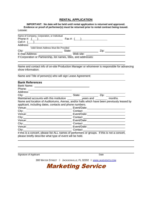#### **RENTAL APPLICATION**

**IMPORTANT: No date will be held until rental application is returned and approved. Evidence or proof of performer(s) must be returned prior to rental contract being issued.** Lessee:

| Name of Company, Corporation, or Individual                       |                                                                                                                                                                                                                                          |
|-------------------------------------------------------------------|------------------------------------------------------------------------------------------------------------------------------------------------------------------------------------------------------------------------------------------|
| Phone #: $($ ) Fax #: $($ $)$                                     |                                                                                                                                                                                                                                          |
| Cell #: $($ $)$                                                   |                                                                                                                                                                                                                                          |
|                                                                   |                                                                                                                                                                                                                                          |
| Valid Street Address Must Be Provided                             |                                                                                                                                                                                                                                          |
|                                                                   |                                                                                                                                                                                                                                          |
| E-mail Address: ________________________                          | Web site: <u>__________________________</u>                                                                                                                                                                                              |
| If Corporation or Partnership, list names, titles, and addresses: |                                                                                                                                                                                                                                          |
|                                                                   |                                                                                                                                                                                                                                          |
|                                                                   |                                                                                                                                                                                                                                          |
|                                                                   | Name and contact info of on-site Production Manager or whomever is responsible for advancing                                                                                                                                             |
| show information:                                                 |                                                                                                                                                                                                                                          |
| Name and Title of person(s) who will sign Lease Agreement:        |                                                                                                                                                                                                                                          |
|                                                                   |                                                                                                                                                                                                                                          |
| <b>Bank References</b>                                            |                                                                                                                                                                                                                                          |
|                                                                   |                                                                                                                                                                                                                                          |
|                                                                   |                                                                                                                                                                                                                                          |
|                                                                   |                                                                                                                                                                                                                                          |
|                                                                   | City: <u>City:</u> City: <u>City:</u> City: City: City: City: City: City: City: City: City: City: City: City: City: City: City: City: City: City: City: City: City: City: City: City: City: City: City: City: City: City: City: City: Ci |
|                                                                   |                                                                                                                                                                                                                                          |
|                                                                   | Name and location of Auditoriums, Arenas, and/or halls which have been previously leased by                                                                                                                                              |
| applicant, including dates, contacts and phone numbers.           |                                                                                                                                                                                                                                          |
|                                                                   |                                                                                                                                                                                                                                          |
|                                                                   |                                                                                                                                                                                                                                          |
|                                                                   |                                                                                                                                                                                                                                          |
|                                                                   | City: 2008. City: 2008. Contact 2008. Contact 2008. Contact 2008. Contact 2008. Contact 2008. Contact 2008. Contact 2008. Contact 2008. Contact 2008. Contact 2008. Contact 2008. Contact 2008. Contact 2008. Contact 2008. Co           |
|                                                                   |                                                                                                                                                                                                                                          |
|                                                                   |                                                                                                                                                                                                                                          |
|                                                                   |                                                                                                                                                                                                                                          |
|                                                                   | _________ Contact ___________________________                                                                                                                                                                                            |
|                                                                   | If this is a concert, please list ALL names of performers or groups. If this is not a concert,                                                                                                                                           |
| please briefly describe what type of event will be held.          |                                                                                                                                                                                                                                          |
|                                                                   |                                                                                                                                                                                                                                          |

Signature of Applicant Date

 $\overline{a}$ 

 $\overline{a}$ 

300 WATER STREET ◊ JACKSONVILLE, FL 32202 ◊ WWW.[JAXEVENTS](http://www.jaxevents.com/).COM

Marketing Service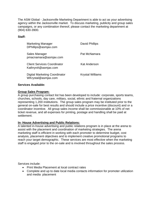The ASM Global - Jacksonville Marketing Department is able to act as your advertising agency within the Jacksonville market. To discuss marketing, publicity and group sales campaigns, or any combination thereof, please contact the marketing department at (904) 630-3900.

#### **Staff:**

| <b>Marketing Manager</b><br>DPhillips@asmjax.com            | David Phillips          |
|-------------------------------------------------------------|-------------------------|
| Sales Manager<br>pmacnamara@asmjax.com                      | Pat McNamara            |
| <b>Client Services Coordinator</b><br>KathrynA@asmjax.com   | Kat Anderson            |
| <b>Digital Marketing Coordinator</b><br>WKrystal@asmjax.com | <b>Krystal Williams</b> |

#### **Services Available:**

#### **Group Sales Program:**

A group purchasing contact list has been developed to include: corporate, sports teams, churches, schools, day care, military, social, ethnic and fraternal organizations representing 1,200 institutions. The group sales program may be instituted prior to the general on-sale for best results and should include a price incentive (discount) and or a coordinator incentive. All group sales income shall be commissionable at 10% of net ticket revenue, and all expenses for printing, postage and handling shall be paid at settlement.

#### **In- House Advertising and Public Relations:**

A talented in-house advertising and public relations program is in place at the arena to assist with the placement and coordination of marketing strategies. The arena marketing staff is efficient in working with each promoter to determine budget, cost analysis, placement objectives and to implement creative promotional programs to reach your target demographic. These services are most effective when the marketing staff is engaged prior to the on-sale and is involved throughout the sales process.

Services include:

- Print Media Placement at local contract rates
- Complete and up to date local media contacts information for promoter utilization and media placement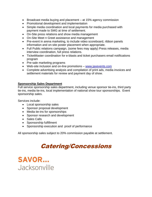- Broadcast media buying and placement at 15% agency commission
- Promotional development and implementation
- Simple media coordination and local payments for media purchased with payment made to SMG at time of settlement.
- On-Site press relations and show media management
- On-Site Meet n Greet assistance and management
- Pre-event in arena marketing, to include video scoreboard, ribbon panels information and on-site poster placement when appropriate.
- Full Public relations campaign, (some fees may apply) Press releases, media interview coordination, full press relations.
- TicketMaster coordination for e-blasts and ticket purchasers email notifications program
- Pre-sale marketing programs
- Web-site inclusion and on-line promotions [www.jaxevents.com](http://www.jaxevents.com/)
- Complete advertising analysis and compilation of print ads, media invoices and settlement materials for review and payment day of show.

#### **Sponsorship Sales Department**

Full service sponsorship sales department, including venue sponsor tie-ins, third party tie-ins, media tie-ins, local implementation of national show tour sponsorships. Event sponsorship sales.

Services include:

- Local sponsorship sales
- Sponsor proposal development
- Media tie-ins for sponsorships
- Sponsor research and development
- Sales Calls
- Sponsorship fulfillment
- Sponsorship execution and proof of performance

All sponsorship sales subject to 20% commission payable at settlement.

# Catering/Concessions

**SAVOR...** Jacksonville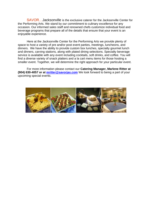SAVOR…Jacksonville is the exclusive caterer for the Jacksonville Center for the Performing Arts. We stand by our commitment to culinary excellence for any occasion. Our informed sales staff and renowned chefs customize individual food and beverage programs that prepare all of the details that ensure that your event is an enjoyable experience.

Here at the Jacksonville Center for the Performing Arts we provide plenty of space to host a variety of pre and/or post event parties, meetings, luncheons, and dinners. We have the ability to provide custom box lunches, specialty gourmet lunch and dinners, carving stations, along with plated dining selections. Specialty beverage service is available with any event including cocktails, soft drinks, and coffee. You will find a diverse variety of snack platters and a la cart menu items for those hosting a smaller event. Together, we will determine the right approach for your particular event.

For more information please contact our **Catering Manager, Marlene Ritter at (904) 630-4057 or at [mritter@savorjax.com](mailto:mritter@savorjax.com)** We look forward to being a part of your upcoming special events.